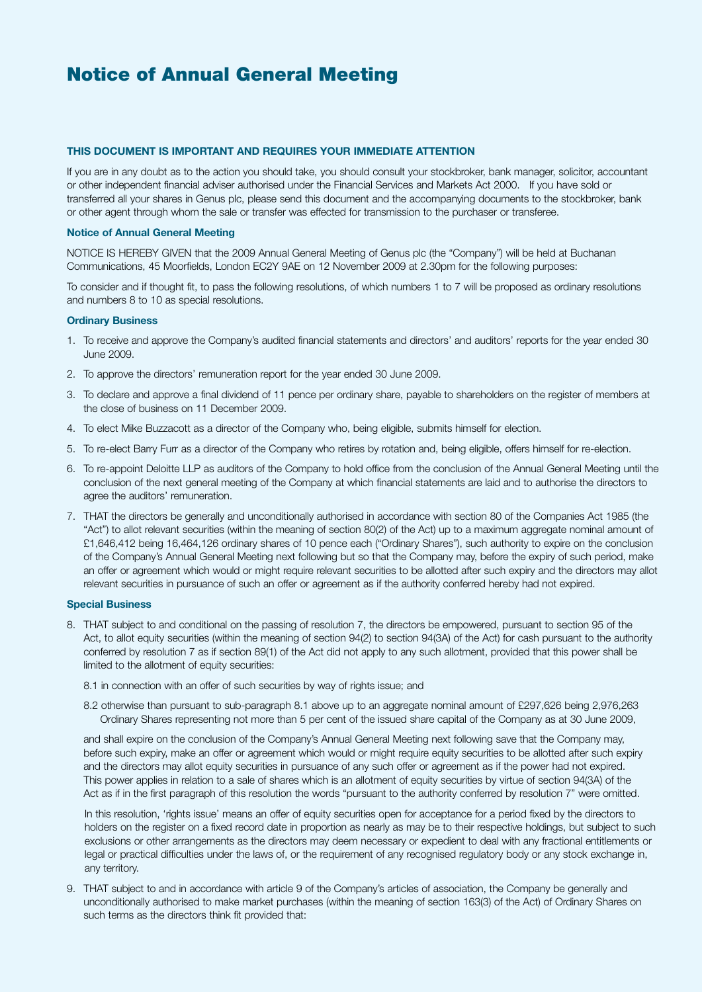## **THIS DOCUMENT IS IMPORTANT AND REQUIRES YOUR IMMEDIATE ATTENTION**

If you are in any doubt as to the action you should take, you should consult your stockbroker, bank manager, solicitor, accountant or other independent financial adviser authorised under the Financial Services and Markets Act 2000. If you have sold or transferred all your shares in Genus plc, please send this document and the accompanying documents to the stockbroker, bank or other agent through whom the sale or transfer was effected for transmission to the purchaser or transferee.

## **Notice of Annual General Meeting**

NOTICE IS HEREBY GIVEN that the 2009 Annual General Meeting of Genus plc (the "Company") will be held at Buchanan Communications, 45 Moorfields, London EC2Y 9AE on 12 November 2009 at 2.30pm for the following purposes:

To consider and if thought fit, to pass the following resolutions, of which numbers 1 to 7 will be proposed as ordinary resolutions and numbers 8 to 10 as special resolutions.

## **Ordinary Business**

- 1. To receive and approve the Company's audited financial statements and directors' and auditors' reports for the year ended 30 June 2009.
- 2. To approve the directors' remuneration report for the year ended 30 June 2009.
- 3. To declare and approve a final dividend of 11 pence per ordinary share, payable to shareholders on the register of members at the close of business on 11 December 2009.
- 4. To elect Mike Buzzacott as a director of the Company who, being eligible, submits himself for election.
- 5. To re-elect Barry Furr as a director of the Company who retires by rotation and, being eligible, offers himself for re-election.
- 6. To re-appoint Deloitte LLP as auditors of the Company to hold office from the conclusion of the Annual General Meeting until the conclusion of the next general meeting of the Company at which financial statements are laid and to authorise the directors to agree the auditors' remuneration.
- 7. THAT the directors be generally and unconditionally authorised in accordance with section 80 of the Companies Act 1985 (the "Act") to allot relevant securities (within the meaning of section 80(2) of the Act) up to a maximum aggregate nominal amount of £1,646,412 being 16,464,126 ordinary shares of 10 pence each ("Ordinary Shares"), such authority to expire on the conclusion of the Company's Annual General Meeting next following but so that the Company may, before the expiry of such period, make an offer or agreement which would or might require relevant securities to be allotted after such expiry and the directors may allot relevant securities in pursuance of such an offer or agreement as if the authority conferred hereby had not expired.

#### **Special Business**

- 8. THAT subject to and conditional on the passing of resolution 7, the directors be empowered, pursuant to section 95 of the Act, to allot equity securities (within the meaning of section 94(2) to section 94(3A) of the Act) for cash pursuant to the authority conferred by resolution 7 as if section 89(1) of the Act did not apply to any such allotment, provided that this power shall be limited to the allotment of equity securities:
	- 8.1 in connection with an offer of such securities by way of rights issue; and
	- 8.2 otherwise than pursuant to sub-paragraph 8.1 above up to an aggregate nominal amount of £297,626 being 2,976,263 Ordinary Shares representing not more than 5 per cent of the issued share capital of the Company as at 30 June 2009,

 and shall expire on the conclusion of the Company's Annual General Meeting next following save that the Company may, before such expiry, make an offer or agreement which would or might require equity securities to be allotted after such expiry and the directors may allot equity securities in pursuance of any such offer or agreement as if the power had not expired. This power applies in relation to a sale of shares which is an allotment of equity securities by virtue of section 94(3A) of the Act as if in the first paragraph of this resolution the words "pursuant to the authority conferred by resolution 7" were omitted.

 In this resolution, 'rights issue' means an offer of equity securities open for acceptance for a period fixed by the directors to holders on the register on a fixed record date in proportion as nearly as may be to their respective holdings, but subject to such exclusions or other arrangements as the directors may deem necessary or expedient to deal with any fractional entitlements or legal or practical difficulties under the laws of, or the requirement of any recognised regulatory body or any stock exchange in, any territory.

9. THAT subject to and in accordance with article 9 of the Company's articles of association, the Company be generally and unconditionally authorised to make market purchases (within the meaning of section 163(3) of the Act) of Ordinary Shares on such terms as the directors think fit provided that: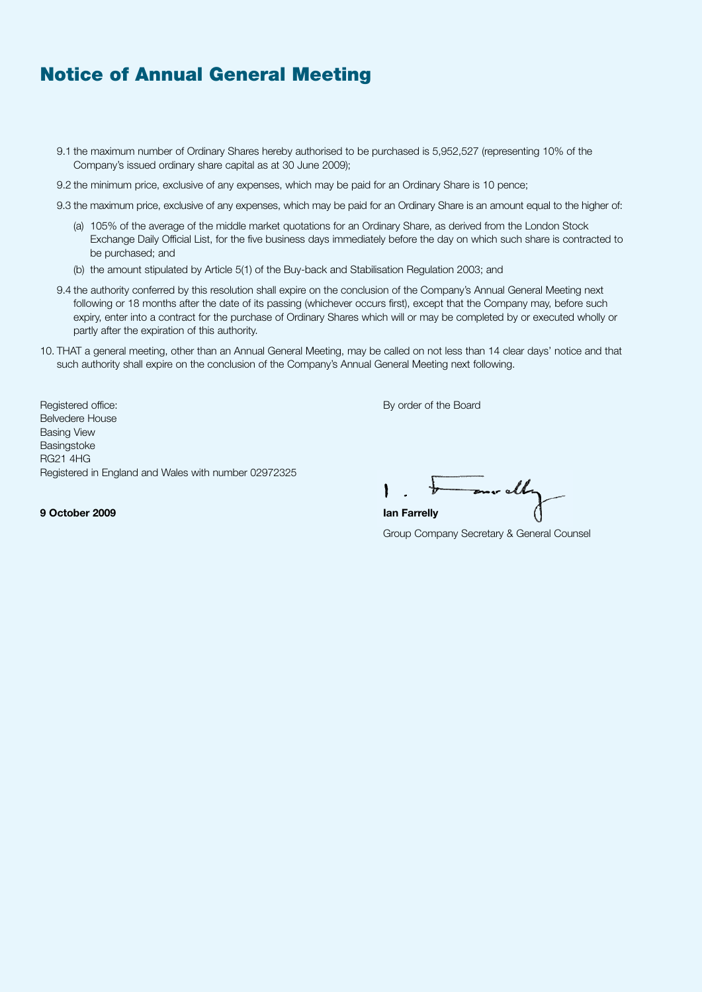- 9.1 the maximum number of Ordinary Shares hereby authorised to be purchased is 5,952,527 (representing 10% of the Company's issued ordinary share capital as at 30 June 2009);
- 9.2 the minimum price, exclusive of any expenses, which may be paid for an Ordinary Share is 10 pence;
- 9.3 the maximum price, exclusive of any expenses, which may be paid for an Ordinary Share is an amount equal to the higher of:
	- (a) 105% of the average of the middle market quotations for an Ordinary Share, as derived from the London Stock Exchange Daily Official List, for the five business days immediately before the day on which such share is contracted to be purchased; and
	- (b) the amount stipulated by Article 5(1) of the Buy-back and Stabilisation Regulation 2003; and
- 9.4 the authority conferred by this resolution shall expire on the conclusion of the Company's Annual General Meeting next following or 18 months after the date of its passing (whichever occurs first), except that the Company may, before such expiry, enter into a contract for the purchase of Ordinary Shares which will or may be completed by or executed wholly or partly after the expiration of this authority.
- 10. THAT a general meeting, other than an Annual General Meeting, may be called on not less than 14 clear days' notice and that such authority shall expire on the conclusion of the Company's Annual General Meeting next following.

Registered office: By order of the Board Changes and Changes and Changes and Changes and Changes and Changes and Changes and Changes and Changes and Changes and Changes and Changes and Changes and Changes and Changes and C Belvedere House Basing View Basingstoke RG21 4HG Registered in England and Wales with number 02972325

mr ally

**9 October 2009 Ian Farrelly**

Group Company Secretary & General Counsel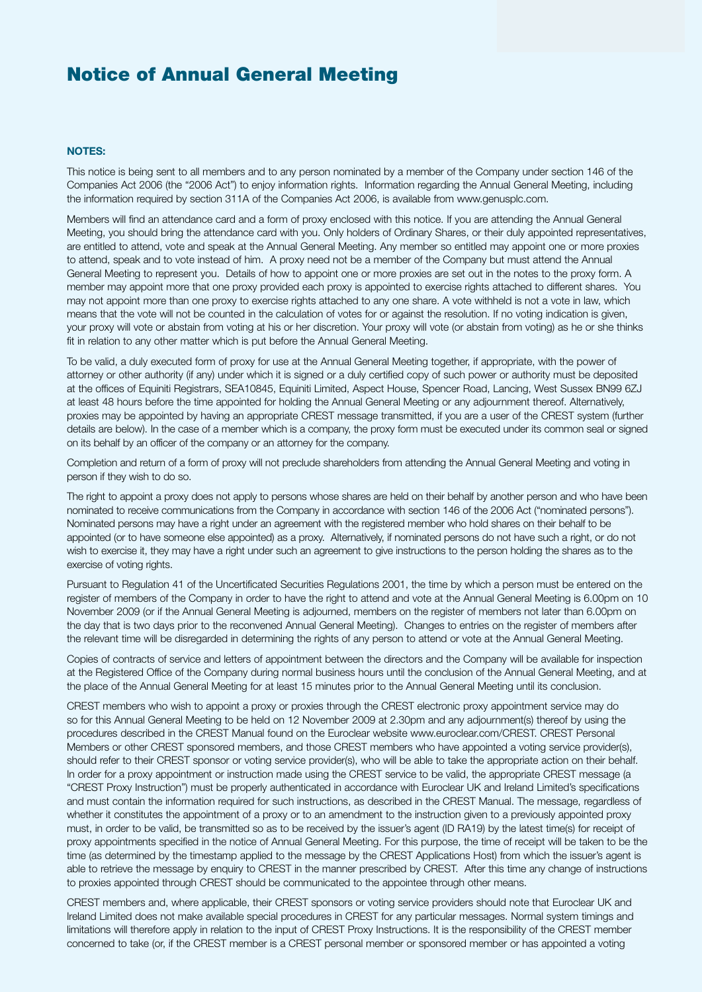## **NOTES:**

This notice is being sent to all members and to any person nominated by a member of the Company under section 146 of the Companies Act 2006 (the "2006 Act") to enjoy information rights. Information regarding the Annual General Meeting, including the information required by section 311A of the Companies Act 2006, is available from www.genusplc.com.

Members will find an attendance card and a form of proxy enclosed with this notice. If you are attending the Annual General Meeting, you should bring the attendance card with you. Only holders of Ordinary Shares, or their duly appointed representatives, are entitled to attend, vote and speak at the Annual General Meeting. Any member so entitled may appoint one or more proxies to attend, speak and to vote instead of him. A proxy need not be a member of the Company but must attend the Annual General Meeting to represent you. Details of how to appoint one or more proxies are set out in the notes to the proxy form. A member may appoint more that one proxy provided each proxy is appointed to exercise rights attached to different shares. You may not appoint more than one proxy to exercise rights attached to any one share. A vote withheld is not a vote in law, which means that the vote will not be counted in the calculation of votes for or against the resolution. If no voting indication is given, your proxy will vote or abstain from voting at his or her discretion. Your proxy will vote (or abstain from voting) as he or she thinks fit in relation to any other matter which is put before the Annual General Meeting.

To be valid, a duly executed form of proxy for use at the Annual General Meeting together, if appropriate, with the power of attorney or other authority (if any) under which it is signed or a duly certified copy of such power or authority must be deposited at the offices of Equiniti Registrars, SEA10845, Equiniti Limited, Aspect House, Spencer Road, Lancing, West Sussex BN99 6ZJ at least 48 hours before the time appointed for holding the Annual General Meeting or any adjournment thereof. Alternatively, proxies may be appointed by having an appropriate CREST message transmitted, if you are a user of the CREST system (further details are below). In the case of a member which is a company, the proxy form must be executed under its common seal or signed on its behalf by an officer of the company or an attorney for the company.

Completion and return of a form of proxy will not preclude shareholders from attending the Annual General Meeting and voting in person if they wish to do so.

The right to appoint a proxy does not apply to persons whose shares are held on their behalf by another person and who have been nominated to receive communications from the Company in accordance with section 146 of the 2006 Act ("nominated persons"). Nominated persons may have a right under an agreement with the registered member who hold shares on their behalf to be appointed (or to have someone else appointed) as a proxy. Alternatively, if nominated persons do not have such a right, or do not wish to exercise it, they may have a right under such an agreement to give instructions to the person holding the shares as to the exercise of voting rights.

Pursuant to Regulation 41 of the Uncertificated Securities Regulations 2001, the time by which a person must be entered on the register of members of the Company in order to have the right to attend and vote at the Annual General Meeting is 6.00pm on 10 November 2009 (or if the Annual General Meeting is adjourned, members on the register of members not later than 6.00pm on the day that is two days prior to the reconvened Annual General Meeting). Changes to entries on the register of members after the relevant time will be disregarded in determining the rights of any person to attend or vote at the Annual General Meeting.

Copies of contracts of service and letters of appointment between the directors and the Company will be available for inspection at the Registered Office of the Company during normal business hours until the conclusion of the Annual General Meeting, and at the place of the Annual General Meeting for at least 15 minutes prior to the Annual General Meeting until its conclusion.

CREST members who wish to appoint a proxy or proxies through the CREST electronic proxy appointment service may do so for this Annual General Meeting to be held on 12 November 2009 at 2.30pm and any adjournment(s) thereof by using the procedures described in the CREST Manual found on the Euroclear website www.euroclear.com/CREST. CREST Personal Members or other CREST sponsored members, and those CREST members who have appointed a voting service provider(s), should refer to their CREST sponsor or voting service provider(s), who will be able to take the appropriate action on their behalf. In order for a proxy appointment or instruction made using the CREST service to be valid, the appropriate CREST message (a "CREST Proxy Instruction") must be properly authenticated in accordance with Euroclear UK and Ireland Limited's specifications and must contain the information required for such instructions, as described in the CREST Manual. The message, regardless of whether it constitutes the appointment of a proxy or to an amendment to the instruction given to a previously appointed proxy must, in order to be valid, be transmitted so as to be received by the issuer's agent (ID RA19) by the latest time(s) for receipt of proxy appointments specified in the notice of Annual General Meeting. For this purpose, the time of receipt will be taken to be the time (as determined by the timestamp applied to the message by the CREST Applications Host) from which the issuer's agent is able to retrieve the message by enquiry to CREST in the manner prescribed by CREST. After this time any change of instructions to proxies appointed through CREST should be communicated to the appointee through other means.

CREST members and, where applicable, their CREST sponsors or voting service providers should note that Euroclear UK and Ireland Limited does not make available special procedures in CREST for any particular messages. Normal system timings and limitations will therefore apply in relation to the input of CREST Proxy Instructions. It is the responsibility of the CREST member concerned to take (or, if the CREST member is a CREST personal member or sponsored member or has appointed a voting